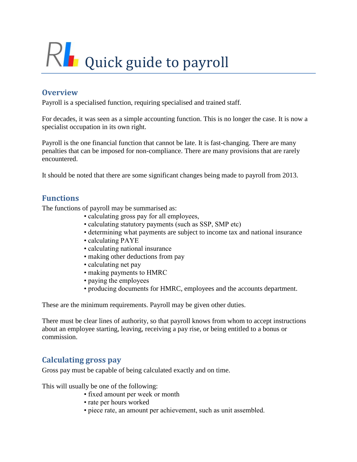# RL Quick guide to payroll

# **Overview**

Payroll is a specialised function, requiring specialised and trained staff.

For decades, it was seen as a simple accounting function. This is no longer the case. It is now a specialist occupation in its own right.

Payroll is the one financial function that cannot be late. It is fast-changing. There are many penalties that can be imposed for non-compliance. There are many provisions that are rarely encountered.

It should be noted that there are some significant changes being made to payroll from 2013.

# **Functions**

The functions of payroll may be summarised as:

- calculating gross pay for all employees,
- calculating statutory payments (such as SSP, SMP etc)
- determining what payments are subject to income tax and national insurance
- calculating PAYE
- calculating national insurance
- making other deductions from pay
- calculating net pay
- making payments to HMRC
- paying the employees
- producing documents for HMRC, employees and the accounts department.

These are the minimum requirements. Payroll may be given other duties.

There must be clear lines of authority, so that payroll knows from whom to accept instructions about an employee starting, leaving, receiving a pay rise, or being entitled to a bonus or commission.

## **Calculating gross pay**

Gross pay must be capable of being calculated exactly and on time.

This will usually be one of the following:

- fixed amount per week or month
- rate per hours worked
- piece rate, an amount per achievement, such as unit assembled.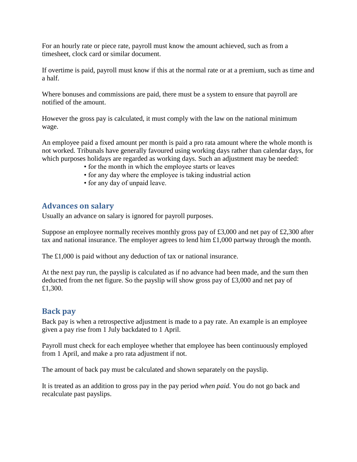For an hourly rate or piece rate, payroll must know the amount achieved, such as from a timesheet, clock card or similar document.

If overtime is paid, payroll must know if this at the normal rate or at a premium, such as time and a half.

Where bonuses and commissions are paid, there must be a system to ensure that payroll are notified of the amount.

However the gross pay is calculated, it must comply with the law on the national minimum wage.

An employee paid a fixed amount per month is paid a pro rata amount where the whole month is not worked. Tribunals have generally favoured using working days rather than calendar days, for which purposes holidays are regarded as working days. Such an adjustment may be needed:

- for the month in which the employee starts or leaves
- for any day where the employee is taking industrial action
- for any day of unpaid leave.

#### **Advances on salary**

Usually an advance on salary is ignored for payroll purposes.

Suppose an employee normally receives monthly gross pay of £3,000 and net pay of £2,300 after tax and national insurance. The employer agrees to lend him £1,000 partway through the month.

The £1,000 is paid without any deduction of tax or national insurance.

At the next pay run, the payslip is calculated as if no advance had been made, and the sum then deducted from the net figure. So the payslip will show gross pay of £3,000 and net pay of £1,300.

#### **Back pay**

Back pay is when a retrospective adjustment is made to a pay rate. An example is an employee given a pay rise from 1 July backdated to 1 April.

Payroll must check for each employee whether that employee has been continuously employed from 1 April, and make a pro rata adjustment if not.

The amount of back pay must be calculated and shown separately on the payslip.

It is treated as an addition to gross pay in the pay period *when paid.* You do not go back and recalculate past payslips.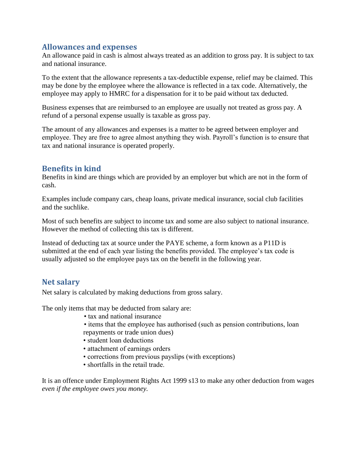#### **Allowances and expenses**

An allowance paid in cash is almost always treated as an addition to gross pay. It is subject to tax and national insurance.

To the extent that the allowance represents a tax-deductible expense, relief may be claimed. This may be done by the employee where the allowance is reflected in a tax code. Alternatively, the employee may apply to HMRC for a dispensation for it to be paid without tax deducted.

Business expenses that are reimbursed to an employee are usually not treated as gross pay. A refund of a personal expense usually is taxable as gross pay.

The amount of any allowances and expenses is a matter to be agreed between employer and employee. They are free to agree almost anything they wish. Payroll's function is to ensure that tax and national insurance is operated properly.

#### **Benefits in kind**

Benefits in kind are things which are provided by an employer but which are not in the form of cash.

Examples include company cars, cheap loans, private medical insurance, social club facilities and the suchlike.

Most of such benefits are subject to income tax and some are also subject to national insurance. However the method of collecting this tax is different.

Instead of deducting tax at source under the PAYE scheme, a form known as a P11D is submitted at the end of each year listing the benefits provided. The employee's tax code is usually adjusted so the employee pays tax on the benefit in the following year.

## **Net salary**

Net salary is calculated by making deductions from gross salary.

The only items that may be deducted from salary are:

- tax and national insurance
- items that the employee has authorised (such as pension contributions, loan repayments or trade union dues)
- student loan deductions
- attachment of earnings orders
- corrections from previous payslips (with exceptions)
- shortfalls in the retail trade.

It is an offence under Employment Rights Act 1999 s13 to make any other deduction from wages *even if the employee owes you money.*